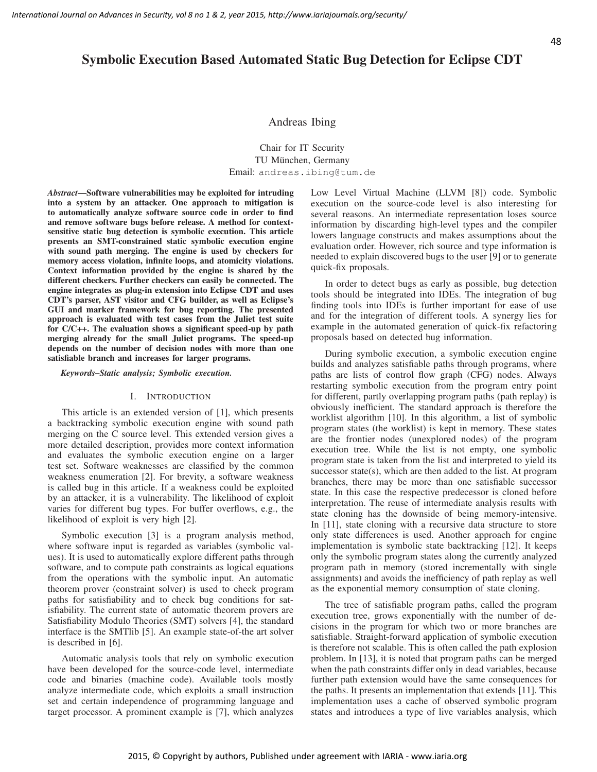## 48

# Symbolic Execution Based Automated Static Bug Detection for Eclipse CDT

Andreas Ibing

Chair for IT Security TU München, Germany Email: andreas.ibing@tum.de

*Abstract*—Software vulnerabilities may be exploited for intruding into a system by an attacker. One approach to mitigation is to automatically analyze software source code in order to find and remove software bugs before release. A method for contextsensitive static bug detection is symbolic execution. This article presents an SMT-constrained static symbolic execution engine with sound path merging. The engine is used by checkers for memory access violation, infinite loops, and atomicity violations. Context information provided by the engine is shared by the different checkers. Further checkers can easily be connected. The engine integrates as plug-in extension into Eclipse CDT and uses CDT's parser, AST visitor and CFG builder, as well as Eclipse's GUI and marker framework for bug reporting. The presented approach is evaluated with test cases from the Juliet test suite for C/C++. The evaluation shows a significant speed-up by path merging already for the small Juliet programs. The speed-up depends on the number of decision nodes with more than one satisfiable branch and increases for larger programs.

*Keywords*–*Static analysis; Symbolic execution.*

## I. INTRODUCTION

This article is an extended version of [1], which presents a backtracking symbolic execution engine with sound path merging on the C source level. This extended version gives a more detailed description, provides more context information and evaluates the symbolic execution engine on a larger test set. Software weaknesses are classified by the common weakness enumeration [2]. For brevity, a software weakness is called bug in this article. If a weakness could be exploited by an attacker, it is a vulnerability. The likelihood of exploit varies for different bug types. For buffer overflows, e.g., the likelihood of exploit is very high [2].

Symbolic execution [3] is a program analysis method, where software input is regarded as variables (symbolic values). It is used to automatically explore different paths through software, and to compute path constraints as logical equations from the operations with the symbolic input. An automatic theorem prover (constraint solver) is used to check program paths for satisfiability and to check bug conditions for satisfiability. The current state of automatic theorem provers are Satisfiability Modulo Theories (SMT) solvers [4], the standard interface is the SMTlib [5]. An example state-of-the art solver is described in [6].

Automatic analysis tools that rely on symbolic execution have been developed for the source-code level, intermediate code and binaries (machine code). Available tools mostly analyze intermediate code, which exploits a small instruction set and certain independence of programming language and target processor. A prominent example is [7], which analyzes Low Level Virtual Machine (LLVM [8]) code. Symbolic execution on the source-code level is also interesting for several reasons. An intermediate representation loses source information by discarding high-level types and the compiler lowers language constructs and makes assumptions about the evaluation order. However, rich source and type information is needed to explain discovered bugs to the user [9] or to generate quick-fix proposals.

In order to detect bugs as early as possible, bug detection tools should be integrated into IDEs. The integration of bug finding tools into IDEs is further important for ease of use and for the integration of different tools. A synergy lies for example in the automated generation of quick-fix refactoring proposals based on detected bug information.

During symbolic execution, a symbolic execution engine builds and analyzes satisfiable paths through programs, where paths are lists of control flow graph (CFG) nodes. Always restarting symbolic execution from the program entry point for different, partly overlapping program paths (path replay) is obviously inefficient. The standard approach is therefore the worklist algorithm [10]. In this algorithm, a list of symbolic program states (the worklist) is kept in memory. These states are the frontier nodes (unexplored nodes) of the program execution tree. While the list is not empty, one symbolic program state is taken from the list and interpreted to yield its successor state(s), which are then added to the list. At program branches, there may be more than one satisfiable successor state. In this case the respective predecessor is cloned before interpretation. The reuse of intermediate analysis results with state cloning has the downside of being memory-intensive. In [11], state cloning with a recursive data structure to store only state differences is used. Another approach for engine implementation is symbolic state backtracking [12]. It keeps only the symbolic program states along the currently analyzed program path in memory (stored incrementally with single assignments) and avoids the inefficiency of path replay as well as the exponential memory consumption of state cloning.

The tree of satisfiable program paths, called the program execution tree, grows exponentially with the number of decisions in the program for which two or more branches are satisfiable. Straight-forward application of symbolic execution is therefore not scalable. This is often called the path explosion problem. In [13], it is noted that program paths can be merged when the path constraints differ only in dead variables, because further path extension would have the same consequences for the paths. It presents an implementation that extends [11]. This implementation uses a cache of observed symbolic program states and introduces a type of live variables analysis, which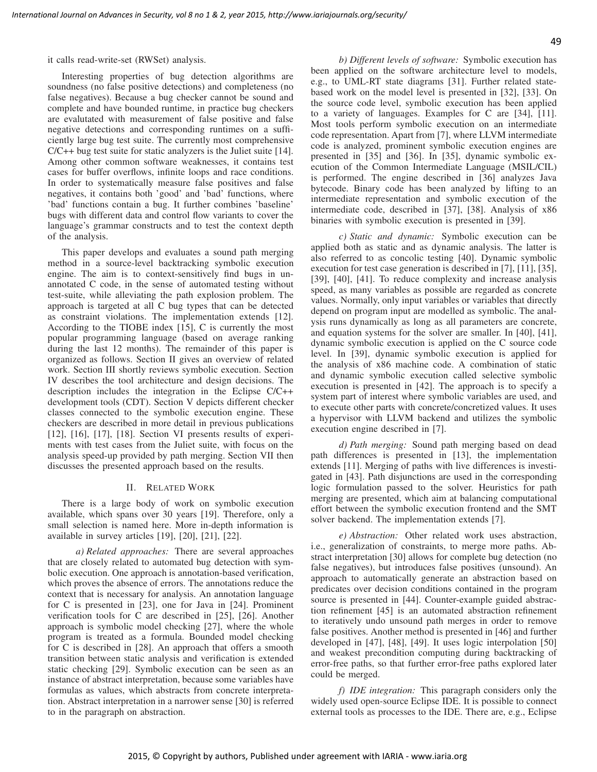it calls read-write-set (RWSet) analysis.

Interesting properties of bug detection algorithms are soundness (no false positive detections) and completeness (no false negatives). Because a bug checker cannot be sound and complete and have bounded runtime, in practice bug checkers are evalutated with measurement of false positive and false negative detections and corresponding runtimes on a sufficiently large bug test suite. The currently most comprehensive C/C++ bug test suite for static analyzers is the Juliet suite [14]. Among other common software weaknesses, it contains test cases for buffer overflows, infinite loops and race conditions. In order to systematically measure false positives and false negatives, it contains both 'good' and 'bad' functions, where 'bad' functions contain a bug. It further combines 'baseline' bugs with different data and control flow variants to cover the language's grammar constructs and to test the context depth of the analysis.

This paper develops and evaluates a sound path merging method in a source-level backtracking symbolic execution engine. The aim is to context-sensitively find bugs in unannotated C code, in the sense of automated testing without test-suite, while alleviating the path explosion problem. The approach is targeted at all C bug types that can be detected as constraint violations. The implementation extends [12]. According to the TIOBE index [15], C is currently the most popular programming language (based on average ranking during the last 12 months). The remainder of this paper is organized as follows. Section II gives an overview of related work. Section III shortly reviews symbolic execution. Section IV describes the tool architecture and design decisions. The description includes the integration in the Eclipse C/C++ development tools (CDT). Section V depicts different checker classes connected to the symbolic execution engine. These checkers are described in more detail in previous publications [12], [16], [17], [18]. Section VI presents results of experiments with test cases from the Juliet suite, with focus on the analysis speed-up provided by path merging. Section VII then discusses the presented approach based on the results.

## II. RELATED WORK

There is a large body of work on symbolic execution available, which spans over 30 years [19]. Therefore, only a small selection is named here. More in-depth information is available in survey articles [19], [20], [21], [22].

*a) Related approaches:* There are several approaches that are closely related to automated bug detection with symbolic execution. One approach is annotation-based verification, which proves the absence of errors. The annotations reduce the context that is necessary for analysis. An annotation language for C is presented in [23], one for Java in [24]. Prominent verification tools for C are described in [25], [26]. Another approach is symbolic model checking [27], where the whole program is treated as a formula. Bounded model checking for C is described in [28]. An approach that offers a smooth transition between static analysis and verification is extended static checking [29]. Symbolic execution can be seen as an instance of abstract interpretation, because some variables have formulas as values, which abstracts from concrete interpretation. Abstract interpretation in a narrower sense [30] is referred to in the paragraph on abstraction.

*b) Different levels of software:* Symbolic execution has been applied on the software architecture level to models, e.g., to UML-RT state diagrams [31]. Further related statebased work on the model level is presented in [32], [33]. On the source code level, symbolic execution has been applied to a variety of languages. Examples for C are [34], [11]. Most tools perform symbolic execution on an intermediate code representation. Apart from [7], where LLVM intermediate code is analyzed, prominent symbolic execution engines are presented in [35] and [36]. In [35], dynamic symbolic execution of the Common Intermediate Language (MSIL/CIL) is performed. The engine described in [36] analyzes Java bytecode. Binary code has been analyzed by lifting to an intermediate representation and symbolic execution of the intermediate code, described in [37], [38]. Analysis of x86 binaries with symbolic execution is presented in [39].

*c) Static and dynamic:* Symbolic execution can be applied both as static and as dynamic analysis. The latter is also referred to as concolic testing [40]. Dynamic symbolic execution for test case generation is described in [7], [11], [35], [39], [40], [41]. To reduce complexity and increase analysis speed, as many variables as possible are regarded as concrete values. Normally, only input variables or variables that directly depend on program input are modelled as symbolic. The analysis runs dynamically as long as all parameters are concrete, and equation systems for the solver are smaller. In [40], [41], dynamic symbolic execution is applied on the C source code level. In [39], dynamic symbolic execution is applied for the analysis of x86 machine code. A combination of static and dynamic symbolic execution called selective symbolic execution is presented in [42]. The approach is to specify a system part of interest where symbolic variables are used, and to execute other parts with concrete/concretized values. It uses a hypervisor with LLVM backend and utilizes the symbolic execution engine described in [7].

*d) Path merging:* Sound path merging based on dead path differences is presented in [13], the implementation extends [11]. Merging of paths with live differences is investigated in [43]. Path disjunctions are used in the corresponding logic formulation passed to the solver. Heuristics for path merging are presented, which aim at balancing computational effort between the symbolic execution frontend and the SMT solver backend. The implementation extends [7].

*e) Abstraction:* Other related work uses abstraction, i.e., generalization of constraints, to merge more paths. Abstract interpretation [30] allows for complete bug detection (no false negatives), but introduces false positives (unsound). An approach to automatically generate an abstraction based on predicates over decision conditions contained in the program source is presented in [44]. Counter-example guided abstraction refinement [45] is an automated abstraction refinement to iteratively undo unsound path merges in order to remove false positives. Another method is presented in [46] and further developed in [47], [48], [49]. It uses logic interpolation [50] and weakest precondition computing during backtracking of error-free paths, so that further error-free paths explored later could be merged.

*f) IDE integration:* This paragraph considers only the widely used open-source Eclipse IDE. It is possible to connect external tools as processes to the IDE. There are, e.g., Eclipse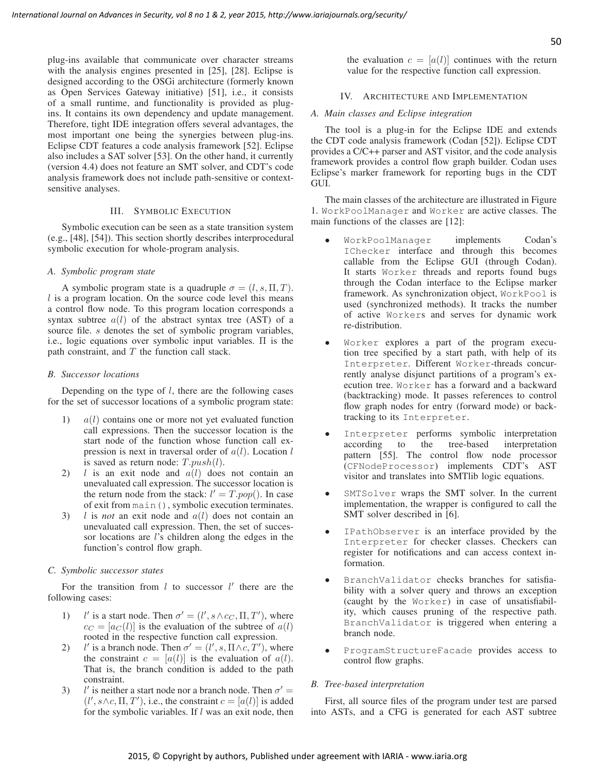plug-ins available that communicate over character streams with the analysis engines presented in [25], [28]. Eclipse is designed according to the OSGi architecture (formerly known as Open Services Gateway initiative) [51], i.e., it consists of a small runtime, and functionality is provided as plugins. It contains its own dependency and update management. Therefore, tight IDE integration offers several advantages, the most important one being the synergies between plug-ins. Eclipse CDT features a code analysis framework [52]. Eclipse also includes a SAT solver [53]. On the other hand, it currently (version 4.4) does not feature an SMT solver, and CDT's code analysis framework does not include path-sensitive or contextsensitive analyses.

## III. SYMBOLIC EXECUTION

Symbolic execution can be seen as a state transition system (e.g., [48], [54]). This section shortly describes interprocedural symbolic execution for whole-program analysis.

## *A. Symbolic program state*

A symbolic program state is a quadruple  $\sigma = (l, s, \Pi, T)$ .  $l$  is a program location. On the source code level this means a control flow node. To this program location corresponds a syntax subtree  $a(l)$  of the abstract syntax tree (AST) of a source file. *s* denotes the set of symbolic program variables, i.e., logic equations over symbolic input variables. Π is the path constraint, and  $T$  the function call stack.

#### *B. Successor locations*

Depending on the type of  $l$ , there are the following cases for the set of successor locations of a symbolic program state:

- 1)  $a(l)$  contains one or more not yet evaluated function call expressions. Then the successor location is the start node of the function whose function call expression is next in traversal order of  $a(l)$ . Location l is saved as return node:  $T.push(l)$ .
- 2)  $l$  is an exit node and  $a(l)$  does not contain an unevaluated call expression. The successor location is the return node from the stack:  $l' = T.pop()$ . In case of exit from main(), symbolic execution terminates.
- 3) l is *not* an exit node and a(l) does not contain an unevaluated call expression. Then, the set of successor locations are *l*'s children along the edges in the function's control flow graph.

## *C. Symbolic successor states*

For the transition from  $l$  to successor  $l'$  there are the following cases:

- $1$ ) ' is a start node. Then  $\sigma' = (l', s \wedge c_C, \Pi, T')$ , where  $c_C = [a_C(l)]$  is the evaluation of the subtree of  $a(l)$ rooted in the respective function call expression.
- 2) ' is a branch node. Then  $\sigma' = (l', s, \Pi \wedge c, T')$ , where the constraint  $c = [a(l)]$  is the evaluation of  $a(l)$ . That is, the branch condition is added to the path constraint.
- 3) ' is neither a start node nor a branch node. Then  $\sigma'$  =  $(l', s \land c, \Pi, T')$ , i.e., the constraint  $c = [a(l)]$  is added for the symbolic variables. If  $l$  was an exit node, then

the evaluation  $c = [a(l)]$  continues with the return value for the respective function call expression.

#### IV. ARCHITECTURE AND IMPLEMENTATION

#### *A. Main classes and Eclipse integration*

The tool is a plug-in for the Eclipse IDE and extends the CDT code analysis framework (Codan [52]). Eclipse CDT provides a C/C++ parser and AST visitor, and the code analysis framework provides a control flow graph builder. Codan uses Eclipse's marker framework for reporting bugs in the CDT GUI.

The main classes of the architecture are illustrated in Figure 1. WorkPoolManager and Worker are active classes. The main functions of the classes are [12]:

- WorkPoolManager implements Codan's IChecker interface and through this becomes callable from the Eclipse GUI (through Codan). It starts Worker threads and reports found bugs through the Codan interface to the Eclipse marker framework. As synchronization object, WorkPool is used (synchronized methods). It tracks the number of active Workers and serves for dynamic work re-distribution.
- Worker explores a part of the program execution tree specified by a start path, with help of its Interpreter. Different Worker-threads concurrently analyse disjunct partitions of a program's execution tree. Worker has a forward and a backward (backtracking) mode. It passes references to control flow graph nodes for entry (forward mode) or backtracking to its Interpreter.
- Interpreter performs symbolic interpretation according to the tree-based interpretation pattern [55]. The control flow node processor (CFNodeProcessor) implements CDT's AST visitor and translates into SMTlib logic equations.
- SMTSolver wraps the SMT solver. In the current implementation, the wrapper is configured to call the SMT solver described in [6].
- IPathObserver is an interface provided by the Interpreter for checker classes. Checkers can register for notifications and can access context information.
- BranchValidator checks branches for satisfiability with a solver query and throws an exception (caught by the Worker) in case of unsatisfiability, which causes pruning of the respective path. BranchValidator is triggered when entering a branch node.
- ProgramStructureFacade provides access to control flow graphs.

#### *B. Tree-based interpretation*

First, all source files of the program under test are parsed into ASTs, and a CFG is generated for each AST subtree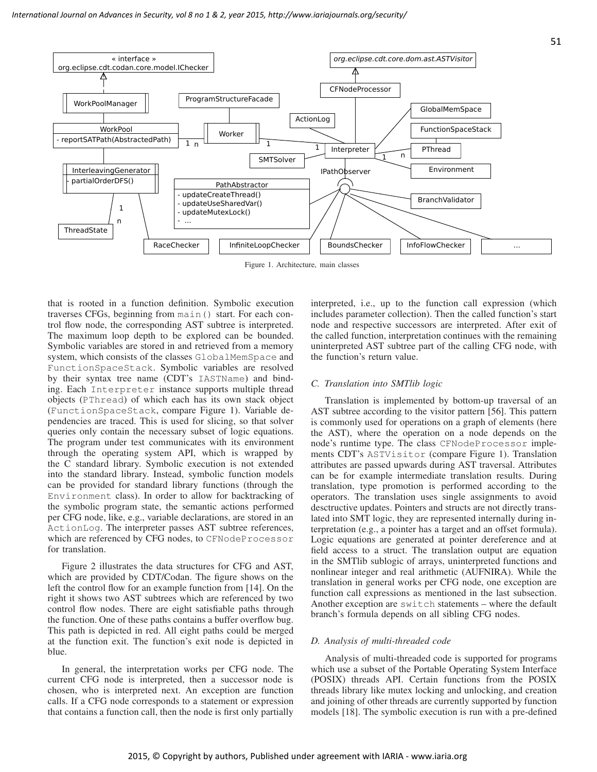- updateMutexLock()



InfiniteLoopChecker | BoundsChecker | InfoFlowChecker

BoundsChecker

Figure 1. Architecture, main classes

that is rooted in a function definition. Symbolic execution traverses CFGs, beginning from main() start. For each control flow node, the corresponding AST subtree is interpreted. The maximum loop depth to be explored can be bounded. Symbolic variables are stored in and retrieved from a memory system, which consists of the classes GlobalMemSpace and FunctionSpaceStack. Symbolic variables are resolved by their syntax tree name (CDT's IASTName) and binding. Each Interpreter instance supports multiple thread objects (PThread) of which each has its own stack object (FunctionSpaceStack, compare Figure 1). Variable dependencies are traced. This is used for slicing, so that solver queries only contain the necessary subset of logic equations. The program under test communicates with its environment through the operating system API, which is wrapped by the C standard library. Symbolic execution is not extended into the standard library. Instead, symbolic function models can be provided for standard library functions (through the Environment class). In order to allow for backtracking of the symbolic program state, the semantic actions performed per CFG node, like, e.g., variable declarations, are stored in an ActionLog. The interpreter passes AST subtree references, which are referenced by CFG nodes, to CFNodeProcessor for translation.

RaceChecker

- ...

n

**ThreadState** 

Figure 2 illustrates the data structures for CFG and AST, which are provided by CDT/Codan. The figure shows on the left the control flow for an example function from [14]. On the right it shows two AST subtrees which are referenced by two control flow nodes. There are eight satisfiable paths through the function. One of these paths contains a buffer overflow bug. This path is depicted in red. All eight paths could be merged at the function exit. The function's exit node is depicted in blue.

In general, the interpretation works per CFG node. The current CFG node is interpreted, then a successor node is chosen, who is interpreted next. An exception are function calls. If a CFG node corresponds to a statement or expression that contains a function call, then the node is first only partially interpreted, i.e., up to the function call expression (which includes parameter collection). Then the called function's start node and respective successors are interpreted. After exit of the called function, interpretation continues with the remaining uninterpreted AST subtree part of the calling CFG node, with the function's return value.

#### *C. Translation into SMTlib logic*

Translation is implemented by bottom-up traversal of an AST subtree according to the visitor pattern [56]. This pattern is commonly used for operations on a graph of elements (here the AST), where the operation on a node depends on the node's runtime type. The class CFNodeProcessor implements CDT's ASTVisitor (compare Figure 1). Translation attributes are passed upwards during AST traversal. Attributes can be for example intermediate translation results. During translation, type promotion is performed according to the operators. The translation uses single assignments to avoid desctructive updates. Pointers and structs are not directly translated into SMT logic, they are represented internally during interpretation (e.g., a pointer has a target and an offset formula). Logic equations are generated at pointer dereference and at field access to a struct. The translation output are equation in the SMTlib sublogic of arrays, uninterpreted functions and nonlinear integer and real arithmetic (AUFNIRA). While the translation in general works per CFG node, one exception are function call expressions as mentioned in the last subsection. Another exception are switch statements – where the default branch's formula depends on all sibling CFG nodes.

#### *D. Analysis of multi-threaded code*

Analysis of multi-threaded code is supported for programs which use a subset of the Portable Operating System Interface (POSIX) threads API. Certain functions from the POSIX threads library like mutex locking and unlocking, and creation and joining of other threads are currently supported by function models [18]. The symbolic execution is run with a pre-defined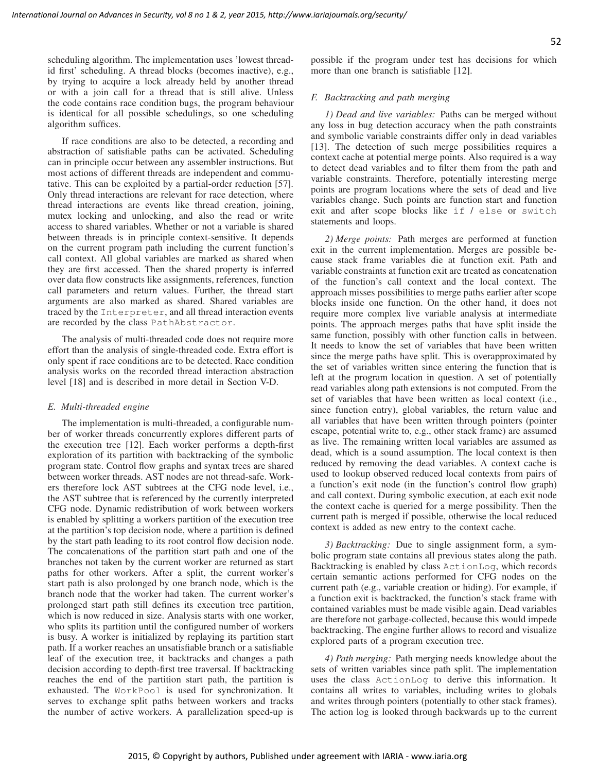scheduling algorithm. The implementation uses 'lowest threadid first' scheduling. A thread blocks (becomes inactive), e.g., by trying to acquire a lock already held by another thread or with a join call for a thread that is still alive. Unless the code contains race condition bugs, the program behaviour is identical for all possible schedulings, so one scheduling algorithm suffices.

If race conditions are also to be detected, a recording and abstraction of satisfiable paths can be activated. Scheduling can in principle occur between any assembler instructions. But most actions of different threads are independent and commutative. This can be exploited by a partial-order reduction [57]. Only thread interactions are relevant for race detection, where thread interactions are events like thread creation, joining, mutex locking and unlocking, and also the read or write access to shared variables. Whether or not a variable is shared between threads is in principle context-sensitive. It depends on the current program path including the current function's call context. All global variables are marked as shared when they are first accessed. Then the shared property is inferred over data flow constructs like assignments, references, function call parameters and return values. Further, the thread start arguments are also marked as shared. Shared variables are traced by the Interpreter, and all thread interaction events are recorded by the class PathAbstractor.

The analysis of multi-threaded code does not require more effort than the analysis of single-threaded code. Extra effort is only spent if race conditions are to be detected. Race condition analysis works on the recorded thread interaction abstraction level [18] and is described in more detail in Section V-D.

## *E. Multi-threaded engine*

The implementation is multi-threaded, a configurable number of worker threads concurrently explores different parts of the execution tree [12]. Each worker performs a depth-first exploration of its partition with backtracking of the symbolic program state. Control flow graphs and syntax trees are shared between worker threads. AST nodes are not thread-safe. Workers therefore lock AST subtrees at the CFG node level, i.e., the AST subtree that is referenced by the currently interpreted CFG node. Dynamic redistribution of work between workers is enabled by splitting a workers partition of the execution tree at the partition's top decision node, where a partition is defined by the start path leading to its root control flow decision node. The concatenations of the partition start path and one of the branches not taken by the current worker are returned as start paths for other workers. After a split, the current worker's start path is also prolonged by one branch node, which is the branch node that the worker had taken. The current worker's prolonged start path still defines its execution tree partition, which is now reduced in size. Analysis starts with one worker, who splits its partition until the configured number of workers is busy. A worker is initialized by replaying its partition start path. If a worker reaches an unsatisfiable branch or a satisfiable leaf of the execution tree, it backtracks and changes a path decision according to depth-first tree traversal. If backtracking reaches the end of the partition start path, the partition is exhausted. The WorkPool is used for synchronization. It serves to exchange split paths between workers and tracks the number of active workers. A parallelization speed-up is possible if the program under test has decisions for which more than one branch is satisfiable [12].

## *F. Backtracking and path merging*

*1) Dead and live variables:* Paths can be merged without any loss in bug detection accuracy when the path constraints and symbolic variable constraints differ only in dead variables [13]. The detection of such merge possibilities requires a context cache at potential merge points. Also required is a way to detect dead variables and to filter them from the path and variable constraints. Therefore, potentially interesting merge points are program locations where the sets of dead and live variables change. Such points are function start and function exit and after scope blocks like if / else or switch statements and loops.

*2) Merge points:* Path merges are performed at function exit in the current implementation. Merges are possible because stack frame variables die at function exit. Path and variable constraints at function exit are treated as concatenation of the function's call context and the local context. The approach misses possibilities to merge paths earlier after scope blocks inside one function. On the other hand, it does not require more complex live variable analysis at intermediate points. The approach merges paths that have split inside the same function, possibly with other function calls in between. It needs to know the set of variables that have been written since the merge paths have split. This is overapproximated by the set of variables written since entering the function that is left at the program location in question. A set of potentially read variables along path extensions is not computed. From the set of variables that have been written as local context (i.e., since function entry), global variables, the return value and all variables that have been written through pointers (pointer escape, potential write to, e.g., other stack frame) are assumed as live. The remaining written local variables are assumed as dead, which is a sound assumption. The local context is then reduced by removing the dead variables. A context cache is used to lookup observed reduced local contexts from pairs of a function's exit node (in the function's control flow graph) and call context. During symbolic execution, at each exit node the context cache is queried for a merge possibility. Then the current path is merged if possible, otherwise the local reduced context is added as new entry to the context cache.

*3) Backtracking:* Due to single assignment form, a symbolic program state contains all previous states along the path. Backtracking is enabled by class ActionLog, which records certain semantic actions performed for CFG nodes on the current path (e.g., variable creation or hiding). For example, if a function exit is backtracked, the function's stack frame with contained variables must be made visible again. Dead variables are therefore not garbage-collected, because this would impede backtracking. The engine further allows to record and visualize explored parts of a program execution tree.

*4) Path merging:* Path merging needs knowledge about the sets of written variables since path split. The implementation uses the class ActionLog to derive this information. It contains all writes to variables, including writes to globals and writes through pointers (potentially to other stack frames). The action log is looked through backwards up to the current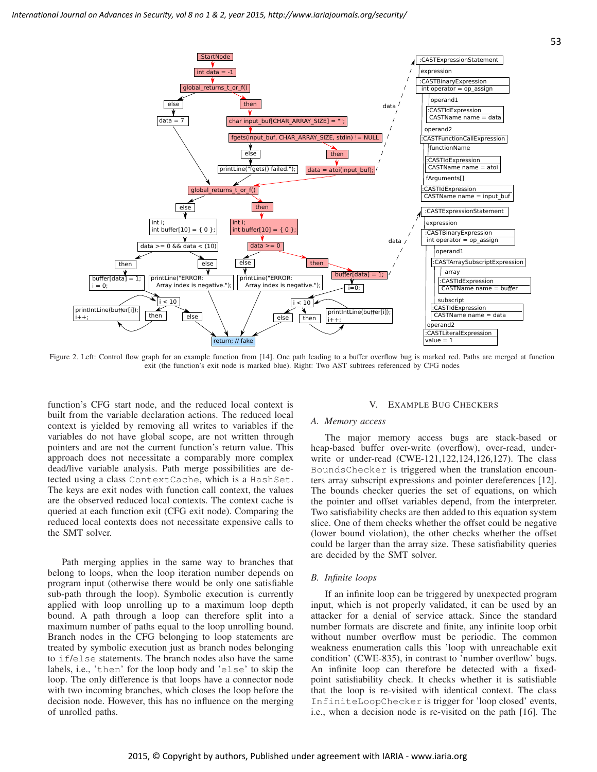

Figure 2. Left: Control flow graph for an example function from [14]. One path leading to a buffer overflow bug is marked red. Paths are merged at function exit (the function's exit node is marked blue). Right: Two AST subtrees referenced by CFG nodes

function's CFG start node, and the reduced local context is built from the variable declaration actions. The reduced local context is yielded by removing all writes to variables if the variables do not have global scope, are not written through pointers and are not the current function's return value. This approach does not necessitate a comparably more complex dead/live variable analysis. Path merge possibilities are detected using a class ContextCache, which is a HashSet. The keys are exit nodes with function call context, the values are the observed reduced local contexts. The context cache is queried at each function exit (CFG exit node). Comparing the reduced local contexts does not necessitate expensive calls to the SMT solver.

Path merging applies in the same way to branches that belong to loops, when the loop iteration number depends on program input (otherwise there would be only one satisfiable sub-path through the loop). Symbolic execution is currently applied with loop unrolling up to a maximum loop depth bound. A path through a loop can therefore split into a maximum number of paths equal to the loop unrolling bound. Branch nodes in the CFG belonging to loop statements are treated by symbolic execution just as branch nodes belonging to if/else statements. The branch nodes also have the same labels, i.e., 'then' for the loop body and 'else' to skip the loop. The only difference is that loops have a connector node with two incoming branches, which closes the loop before the decision node. However, this has no influence on the merging of unrolled paths.

#### V. EXAMPLE BUG CHECKERS

#### *A. Memory access*

The major memory access bugs are stack-based or heap-based buffer over-write (overflow), over-read, underwrite or under-read (CWE-121,122,124,126,127). The class BoundsChecker is triggered when the translation encounters array subscript expressions and pointer dereferences [12]. The bounds checker queries the set of equations, on which the pointer and offset variables depend, from the interpreter. Two satisfiability checks are then added to this equation system slice. One of them checks whether the offset could be negative (lower bound violation), the other checks whether the offset could be larger than the array size. These satisfiability queries are decided by the SMT solver.

#### *B. Infinite loops*

If an infinite loop can be triggered by unexpected program input, which is not properly validated, it can be used by an attacker for a denial of service attack. Since the standard number formats are discrete and finite, any infinite loop orbit without number overflow must be periodic. The common weakness enumeration calls this 'loop with unreachable exit condition' (CWE-835), in contrast to 'number overflow' bugs. An infinite loop can therefore be detected with a fixedpoint satisfiability check. It checks whether it is satisfiable that the loop is re-visited with identical context. The class InfiniteLoopChecker is trigger for 'loop closed' events, i.e., when a decision node is re-visited on the path [16]. The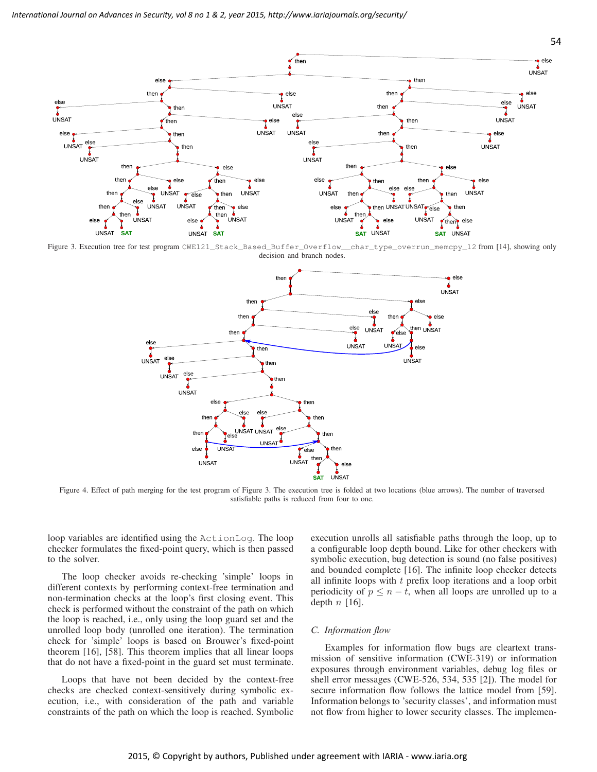

Figure 3. Execution tree for test program CWE121\_Stack\_Based\_Buffer\_Overflow\_\_char\_type\_overrun\_memcpy\_12 from [14], showing only decision and branch nodes.



Figure 4. Effect of path merging for the test program of Figure 3. The execution tree is folded at two locations (blue arrows). The number of traversed satisfiable paths is reduced from four to one.

loop variables are identified using the ActionLog. The loop checker formulates the fixed-point query, which is then passed to the solver.

The loop checker avoids re-checking 'simple' loops in different contexts by performing context-free termination and non-termination checks at the loop's first closing event. This check is performed without the constraint of the path on which the loop is reached, i.e., only using the loop guard set and the unrolled loop body (unrolled one iteration). The termination check for 'simple' loops is based on Brouwer's fixed-point theorem [16], [58]. This theorem implies that all linear loops that do not have a fixed-point in the guard set must terminate.

Loops that have not been decided by the context-free checks are checked context-sensitively during symbolic execution, i.e., with consideration of the path and variable constraints of the path on which the loop is reached. Symbolic

execution unrolls all satisfiable paths through the loop, up to a configurable loop depth bound. Like for other checkers with symbolic execution, bug detection is sound (no false positives) and bounded complete [16]. The infinite loop checker detects all infinite loops with t prefix loop iterations and a loop orbit periodicity of  $p \leq n - t$ , when all loops are unrolled up to a depth  $n \lfloor 16 \rfloor$ .

## *C. Information flow*

Examples for information flow bugs are cleartext transmission of sensitive information (CWE-319) or information exposures through environment variables, debug log files or shell error messages (CWE-526, 534, 535 [2]). The model for secure information flow follows the lattice model from [59]. Information belongs to 'security classes', and information must not flow from higher to lower security classes. The implemen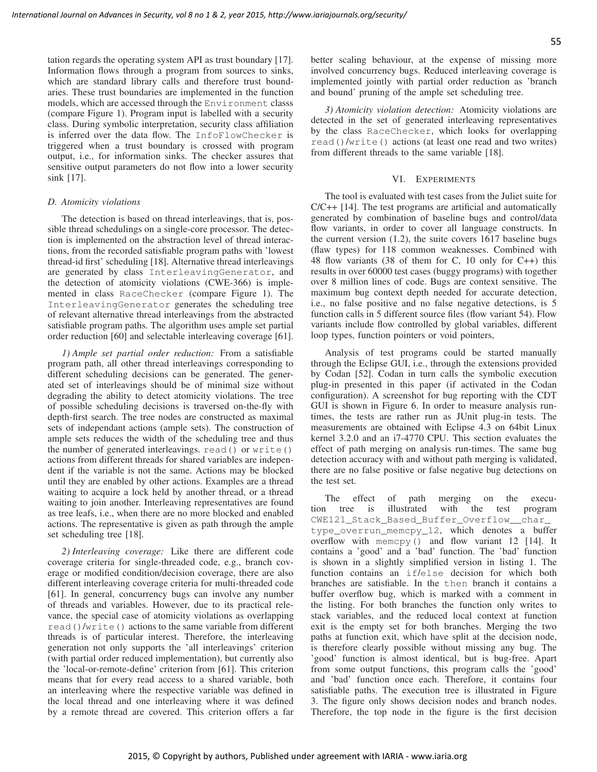tation regards the operating system API as trust boundary [17]. Information flows through a program from sources to sinks, which are standard library calls and therefore trust boundaries. These trust boundaries are implemented in the function models, which are accessed through the Environment classs (compare Figure 1). Program input is labelled with a security class. During symbolic interpretation, security class affiliation is inferred over the data flow. The InfoFlowChecker is triggered when a trust boundary is crossed with program output, i.e., for information sinks. The checker assures that sensitive output parameters do not flow into a lower security sink [17].

## *D. Atomicity violations*

The detection is based on thread interleavings, that is, possible thread schedulings on a single-core processor. The detection is implemented on the abstraction level of thread interactions, from the recorded satisfiable program paths with 'lowest thread-id first' scheduling [18]. Alternative thread interleavings are generated by class InterleavingGenerator, and the detection of atomicity violations (CWE-366) is implemented in class RaceChecker (compare Figure 1). The InterleavingGenerator generates the scheduling tree of relevant alternative thread interleavings from the abstracted satisfiable program paths. The algorithm uses ample set partial order reduction [60] and selectable interleaving coverage [61].

*1) Ample set partial order reduction:* From a satisfiable program path, all other thread interleavings corresponding to different scheduling decisions can be generated. The generated set of interleavings should be of minimal size without degrading the ability to detect atomicity violations. The tree of possible scheduling decisions is traversed on-the-fly with depth-first search. The tree nodes are constructed as maximal sets of independant actions (ample sets). The construction of ample sets reduces the width of the scheduling tree and thus the number of generated interleavings. read() or write() actions from different threads for shared variables are independent if the variable is not the same. Actions may be blocked until they are enabled by other actions. Examples are a thread waiting to acquire a lock held by another thread, or a thread waiting to join another. Interleaving representatives are found as tree leafs, i.e., when there are no more blocked and enabled actions. The representative is given as path through the ample set scheduling tree [18].

*2) Interleaving coverage:* Like there are different code coverage criteria for single-threaded code, e.g., branch coverage or modified condition/decision coverage, there are also different interleaving coverage criteria for multi-threaded code [61]. In general, concurrency bugs can involve any number of threads and variables. However, due to its practical relevance, the special case of atomicity violations as overlapping read()/write() actions to the same variable from different threads is of particular interest. Therefore, the interleaving generation not only supports the 'all interleavings' criterion (with partial order reduced implementation), but currently also the 'local-or-remote-define' criterion from [61]. This criterion means that for every read access to a shared variable, both an interleaving where the respective variable was defined in the local thread and one interleaving where it was defined by a remote thread are covered. This criterion offers a far

*3) Atomicity violation detection:* Atomicity violations are detected in the set of generated interleaving representatives by the class RaceChecker, which looks for overlapping read()/write() actions (at least one read and two writes) from different threads to the same variable [18].

#### VI. EXPERIMENTS

The tool is evaluated with test cases from the Juliet suite for C/C++ [14]. The test programs are artificial and automatically generated by combination of baseline bugs and control/data flow variants, in order to cover all language constructs. In the current version (1.2), the suite covers 1617 baseline bugs (flaw types) for 118 common weaknesses. Combined with 48 flow variants (38 of them for C, 10 only for C++) this results in over 60000 test cases (buggy programs) with together over 8 million lines of code. Bugs are context sensitive. The maximum bug context depth needed for accurate detection, i.e., no false positive and no false negative detections, is 5 function calls in 5 different source files (flow variant 54). Flow variants include flow controlled by global variables, different loop types, function pointers or void pointers,

Analysis of test programs could be started manually through the Eclipse GUI, i.e., through the extensions provided by Codan [52]. Codan in turn calls the symbolic execution plug-in presented in this paper (if activated in the Codan configuration). A screenshot for bug reporting with the CDT GUI is shown in Figure 6. In order to measure analysis runtimes, the tests are rather run as JUnit plug-in tests. The measurements are obtained with Eclipse 4.3 on 64bit Linux kernel 3.2.0 and an i7-4770 CPU. This section evaluates the effect of path merging on analysis run-times. The same bug detection accuracy with and without path merging is validated, there are no false positive or false negative bug detections on the test set.

The effect of path merging on the execution tree is illustrated with the test program CWE121\_Stack\_Based\_Buffer\_Overflow\_\_char\_ type\_overrun\_memcpy\_12, which denotes a buffer overflow with memcpy() and flow variant 12 [14]. It contains a 'good' and a 'bad' function. The 'bad' function is shown in a slightly simplified version in listing 1. The function contains an if/else decision for which both branches are satisfiable. In the then branch it contains a buffer overflow bug, which is marked with a comment in the listing. For both branches the function only writes to stack variables, and the reduced local context at function exit is the empty set for both branches. Merging the two paths at function exit, which have split at the decision node, is therefore clearly possible without missing any bug. The 'good' function is almost identical, but is bug-free. Apart from some output functions, this program calls the 'good' and 'bad' function once each. Therefore, it contains four satisfiable paths. The execution tree is illustrated in Figure 3. The figure only shows decision nodes and branch nodes. Therefore, the top node in the figure is the first decision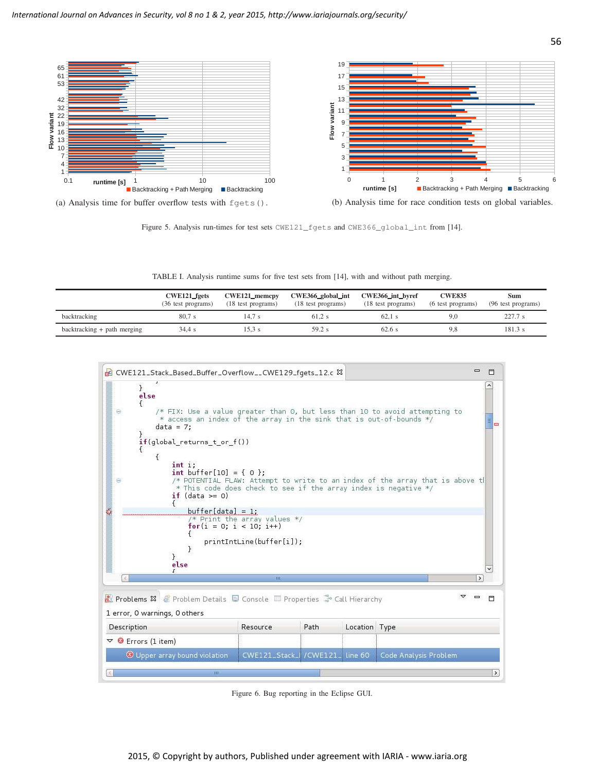

Figure 5. Analysis run-times for test sets CWE121\_fgets and CWE366\_global\_int from [14].

TABLE I. Analysis runtime sums for five test sets from [14], with and without path merging.

|                               | <b>CWE121</b> fgets<br>(36 test programs) | <b>CWE121</b> memcpy<br>(18 test programs) | CWE366_global_int<br>(18 test programs) | CWE366_int_byref<br>(18 test programs) | <b>CWE835</b><br>(6 test programs) | <b>Sum</b><br>(96 test programs) |
|-------------------------------|-------------------------------------------|--------------------------------------------|-----------------------------------------|----------------------------------------|------------------------------------|----------------------------------|
| backtracking                  | 80.7s                                     | 14.7 s                                     | 61.2 s                                  | $62.1$ s                               | 9.0                                | 227.7 s                          |
| $backtracking + path merging$ | 34.4s                                     | $15.3$ s                                   | 59.2 s                                  | 62.6 s                                 | 9.8                                | 181.3 s                          |



Figure 6. Bug reporting in the Eclipse GUI.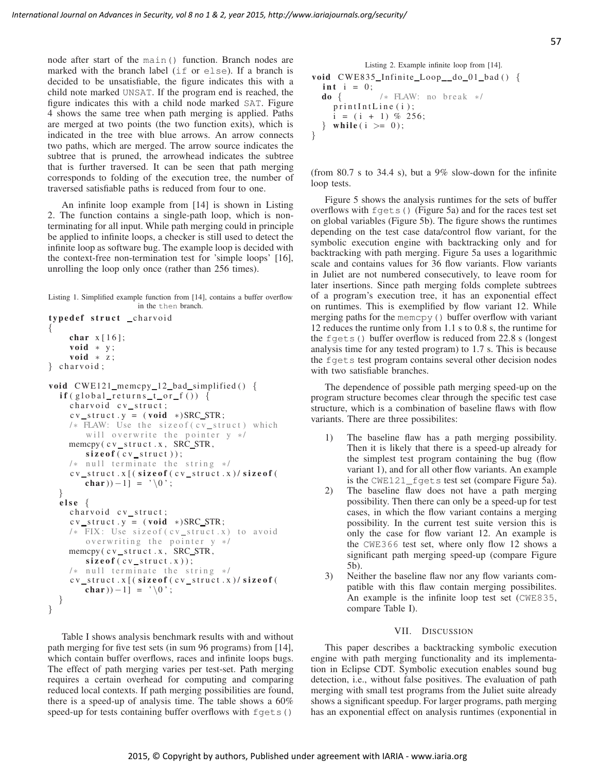node after start of the main() function. Branch nodes are marked with the branch label (if or else). If a branch is decided to be unsatisfiable, the figure indicates this with a child note marked UNSAT. If the program end is reached, the figure indicates this with a child node marked SAT. Figure 4 shows the same tree when path merging is applied. Paths are merged at two points (the two function exits), which is indicated in the tree with blue arrows. An arrow connects two paths, which are merged. The arrow source indicates the subtree that is pruned, the arrowhead indicates the subtree that is further traversed. It can be seen that path merging corresponds to folding of the execution tree, the number of traversed satisfiable paths is reduced from four to one.

An infinite loop example from [14] is shown in Listing 2. The function contains a single-path loop, which is nonterminating for all input. While path merging could in principle be applied to infinite loops, a checker is still used to detect the infinite loop as software bug. The example loop is decided with the context-free non-termination test for 'simple loops' [16], unrolling the loop only once (rather than 256 times).

```
Listing 1. Simplified example function from [14], contains a buffer overflow
                    in the then branch.
typedef struct _charvoid
{
    char x [16];
    void * y;void * z;
\} charvoid ;
void CWE121_memcpy_12_bad_simplified () {
  if (global_returns_t_or_f()) {
    charvoid cv_struct;
    cv\_struct . y = (void *)SRC\_STR;/* FLAW: Use the size of (cv_struct) which
        will overwrite the pointer y * /memcpy ( c v _ s t r u c t . x , SRC_STR,
        size of (cv_structure));
    /* null terminate the string */cv\_struct.x [(size of (cv\_struct.x)/size of)
        char ) -1] = '\setminus 0';
  }
  e lse {
    charvoid cv_struct;
    cv\_struct.y = (void *)SRC\_STR;/* FIX: Use size of (cv_struct.x) to avoid
        overwriting the pointer y */
    memcpy ( c v_s t r u c t . x , SRC_STR,
        size of (cv\_struct.x));/* null terminate the string */cv<sub>struct</sub>.x[(size of(cv_struct.x)/size of(
        char )) –1] = '\setminus 0';
  }
}
```
Table I shows analysis benchmark results with and without path merging for five test sets (in sum 96 programs) from [14], which contain buffer overflows, races and infinite loops bugs. The effect of path merging varies per test-set. Path merging requires a certain overhead for computing and comparing reduced local contexts. If path merging possibilities are found, there is a speed-up of analysis time. The table shows a 60% speed-up for tests containing buffer overflows with fgets()

Listing 2. Example infinite loop from [14]. v oid CWE 8 3 5 I n fi nite L o o p d o 0 1 ba d ( ) { i n t i = 0 ; do { / ∗ FLAW: no b r e a k ∗ / p r i n t I n t L i n e ( i ) ; i = ( i + 1 ) % 2 5 6; } w hil e ( i >= 0 ) ; }

(from 80.7 s to 34.4 s), but a 9% slow-down for the infinite loop tests.

Figure 5 shows the analysis runtimes for the sets of buffer overflows with fgets() (Figure 5a) and for the races test set on global variables (Figure 5b). The figure shows the runtimes depending on the test case data/control flow variant, for the symbolic execution engine with backtracking only and for backtracking with path merging. Figure 5a uses a logarithmic scale and contains values for 36 flow variants. Flow variants in Juliet are not numbered consecutively, to leave room for later insertions. Since path merging folds complete subtrees of a program's execution tree, it has an exponential effect on runtimes. This is exemplified by flow variant 12. While merging paths for the memcpy() buffer overflow with variant 12 reduces the runtime only from 1.1 s to 0.8 s, the runtime for the fgets() buffer overflow is reduced from 22.8 s (longest analysis time for any tested program) to 1.7 s. This is because the fgets test program contains several other decision nodes with two satisfiable branches.

The dependence of possible path merging speed-up on the program structure becomes clear through the specific test case structure, which is a combination of baseline flaws with flow variants. There are three possibilites:

- 1) The baseline flaw has a path merging possibility. Then it is likely that there is a speed-up already for the simplest test program containing the bug (flow variant 1), and for all other flow variants. An example is the CWE121\_fgets test set (compare Figure 5a).
- 2) The baseline flaw does not have a path merging possibility. Then there can only be a speed-up for test cases, in which the flow variant contains a merging possibility. In the current test suite version this is only the case for flow variant 12. An example is the CWE366 test set, where only flow 12 shows a significant path merging speed-up (compare Figure 5b).
- 3) Neither the baseline flaw nor any flow variants compatible with this flaw contain merging possibilites. An example is the infinite loop test set (CWE835, compare Table I).

## VII. DISCUSSION

This paper describes a backtracking symbolic execution engine with path merging functionality and its implementation in Eclipse CDT. Symbolic execution enables sound bug detection, i.e., without false positives. The evaluation of path merging with small test programs from the Juliet suite already shows a significant speedup. For larger programs, path merging has an exponential effect on analysis runtimes (exponential in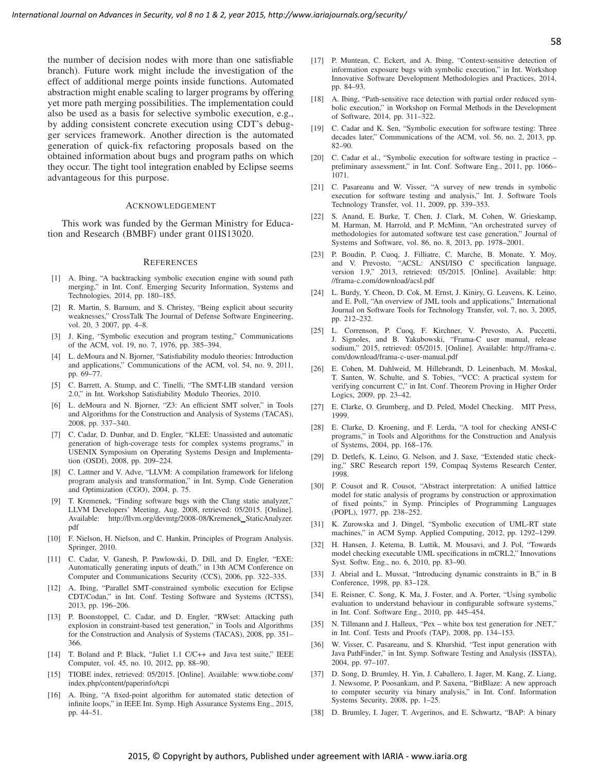the number of decision nodes with more than one satisfiable branch). Future work might include the investigation of the effect of additional merge points inside functions. Automated abstraction might enable scaling to larger programs by offering yet more path merging possibilities. The implementation could also be used as a basis for selective symbolic execution, e.g., by adding consistent concrete execution using CDT's debugger services framework. Another direction is the automated generation of quick-fix refactoring proposals based on the obtained information about bugs and program paths on which they occur. The tight tool integration enabled by Eclipse seems advantageous for this purpose.

#### ACKNOWLEDGEMENT

This work was funded by the German Ministry for Education and Research (BMBF) under grant 01IS13020.

#### **REFERENCES**

- [1] A. Ibing, "A backtracking symbolic execution engine with sound path merging," in Int. Conf. Emerging Security Information, Systems and Technologies, 2014, pp. 180–185.
- [2] R. Martin, S. Barnum, and S. Christey, "Being explicit about security weaknesses," CrossTalk The Journal of Defense Software Engineering, vol. 20, 3 2007, pp. 4–8.
- [3] J. King, "Symbolic execution and program testing," Communications of the ACM, vol. 19, no. 7, 1976, pp. 385–394.
- [4] L. deMoura and N. Bjorner, "Satisfiability modulo theories: Introduction and applications," Communications of the ACM, vol. 54, no. 9, 2011, pp. 69–77.
- [5] C. Barrett, A. Stump, and C. Tinelli, "The SMT-LIB standard version 2.0," in Int. Workshop Satisfiability Modulo Theories, 2010.
- [6] L. deMoura and N. Bjorner, "Z3: An efficient SMT solver," in Tools and Algorithms for the Construction and Analysis of Systems (TACAS), 2008, pp. 337–340.
- [7] C. Cadar, D. Dunbar, and D. Engler, "KLEE: Unassisted and automatic generation of high-coverage tests for complex systems programs," in USENIX Symposium on Operating Systems Design and Implementation (OSDI), 2008, pp. 209–224.
- [8] C. Lattner and V. Adve, "LLVM: A compilation framework for lifelong program analysis and transformation," in Int. Symp. Code Generation and Optimization (CGO), 2004, p. 75.
- [9] T. Kremenek, "Finding software bugs with the Clang static analyzer," LLVM Developers' Meeting, Aug. 2008, retrieved: 05/2015. [Online]. Available: http://llvm.org/devmtg/2008-08/Kremenek StaticAnalyzer. pdf
- [10] F. Nielson, H. Nielson, and C. Hankin, Principles of Program Analysis. Springer, 2010.
- [11] C. Cadar, V. Ganesh, P. Pawlowski, D. Dill, and D. Engler, "EXE: Automatically generating inputs of death," in 13th ACM Conference on Computer and Communications Security (CCS), 2006, pp. 322–335.
- [12] A. Ibing, "Parallel SMT-constrained symbolic execution for Eclipse CDT/Codan," in Int. Conf. Testing Software and Systems (ICTSS), 2013, pp. 196–206.
- [13] P. Boonstoppel, C. Cadar, and D. Engler, "RWset: Attacking path explosion in constraint-based test generation," in Tools and Algorithms for the Construction and Analysis of Systems (TACAS), 2008, pp. 351– 366.
- [14] T. Boland and P. Black, "Juliet 1.1 C/C++ and Java test suite," IEEE Computer, vol. 45, no. 10, 2012, pp. 88–90.
- [15] TIOBE index, retrieved: 05/2015. [Online]. Available: www.tiobe.com/ index.php/content/paperinfo/tcpi
- [16] A. Ibing, "A fixed-point algorithm for automated static detection of infinite loops," in IEEE Int. Symp. High Assurance Systems Eng., 2015, pp. 44–51.
- [17] P. Muntean, C. Eckert, and A. Ibing, "Context-sensitive detection of information exposure bugs with symbolic execution," in Int. Workshop Innovative Software Development Methodologies and Practices, 2014, pp. 84–93.
- [18] A. Ibing, "Path-sensitive race detection with partial order reduced symbolic execution," in Workshop on Formal Methods in the Development of Software, 2014, pp. 311–322.
- [19] C. Cadar and K. Sen, "Symbolic execution for software testing: Three decades later," Communications of the ACM, vol. 56, no. 2, 2013, pp. 82–90.
- [20] C. Cadar et al., "Symbolic execution for software testing in practice preliminary assessment," in Int. Conf. Software Eng., 2011, pp. 1066– 1071.
- [21] C. Pasareanu and W. Visser, "A survey of new trends in symbolic execution for software testing and analysis," Int. J. Software Tools Technology Transfer, vol. 11, 2009, pp. 339–353.
- [22] S. Anand, E. Burke, T. Chen, J. Clark, M. Cohen, W. Grieskamp, M. Harman, M. Harrold, and P. McMinn, "An orchestrated survey of methodologies for automated software test case generation," Journal of Systems and Software, vol. 86, no. 8, 2013, pp. 1978–2001.
- [23] P. Boudin, P. Cuoq, J. Filliatre, C. Marche, B. Monate, Y. Moy, and V. Prevosto, "ACSL: ANSI/ISO C specification language, version 1.9," 2013, retrieved: 05/2015. [Online]. Available: http: //frama-c.com/download/acsl.pdf
- [24] L. Burdy, Y. Cheon, D. Cok, M. Ernst, J. Kiniry, G. Leavens, K. Leino, and E. Poll, "An overview of JML tools and applications," International Journal on Software Tools for Technology Transfer, vol. 7, no. 3, 2005, pp. 212–232.
- [25] L. Correnson, P. Cuoq, F. Kirchner, V. Prevosto, A. Puccetti, J. Signoles, and B. Yakubowski, "Frama-C user manual, release sodium," 2015, retrieved: 05/2015. [Online]. Available: http://frama-c. com/download/frama-c-user-manual.pdf
- [26] E. Cohen, M. Dahlweid, M. Hillebrandt, D. Leinenbach, M. Moskal, T. Santen, W. Schulte, and S. Tobies, "VCC: A practical system for verifying concurrent C," in Int. Conf. Theorem Proving in Higher Order Logics, 2009, pp. 23–42.
- [27] E. Clarke, O. Grumberg, and D. Peled, Model Checking. MIT Press, 1999.
- [28] E. Clarke, D. Kroening, and F. Lerda, "A tool for checking ANSI-C programs," in Tools and Algorithms for the Construction and Analysis of Systems, 2004, pp. 168–176.
- [29] D. Detlefs, K. Leino, G. Nelson, and J. Saxe, "Extended static checking," SRC Research report 159, Compaq Systems Research Center, 1998.
- [30] P. Cousot and R. Cousot, "Abstract interpretation: A unified latttice model for static analysis of programs by construction or approximation of fixed points," in Symp. Principles of Programming Languages (POPL), 1977, pp. 238–252.
- [31] K. Zurowska and J. Dingel, "Symbolic execution of UML-RT state machines," in ACM Symp. Applied Computing, 2012, pp. 1292–1299.
- [32] H. Hansen, J. Ketema, B. Luttik, M. Mousavi, and J. Pol, "Towards model checking executable UML specifications in mCRL2," Innovations Syst. Softw. Eng., no. 6, 2010, pp. 83–90.
- [33] J. Abrial and L. Mussat, "Introducing dynamic constraints in B," in B Conference, 1998, pp. 83–128.
- [34] E. Reisner, C. Song, K. Ma, J. Foster, and A. Porter, "Using symbolic evaluation to understand behaviour in configurable software systems," in Int. Conf. Software Eng., 2010, pp. 445–454.
- [35] N. Tillmann and J. Halleux, "Pex white box test generation for .NET," in Int. Conf. Tests and Proofs (TAP), 2008, pp. 134–153.
- [36] W. Visser, C. Pasareanu, and S. Khurshid, "Test input generation with Java PathFinder," in Int. Symp. Software Testing and Analysis (ISSTA), 2004, pp. 97–107.
- [37] D. Song, D. Brumley, H. Yin, J. Caballero, I. Jager, M. Kang, Z. Liang, J. Newsome, P. Poosankam, and P. Saxena, "BitBlaze: A new approach to computer security via binary analysis," in Int. Conf. Information Systems Security, 2008, pp. 1–25.
- [38] D. Brumley, I. Jager, T. Avgerinos, and E. Schwartz, "BAP: A binary